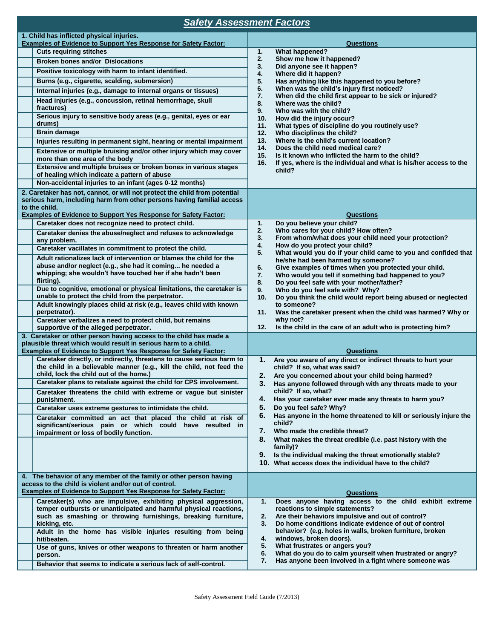# *Safety Assessment Factors*

| 1. Child has inflicted physical injuries.<br><b>Examples of Evidence to Support Yes Response for Safety Factor:</b>                   | <b>Questions</b>                                                                                                        |
|---------------------------------------------------------------------------------------------------------------------------------------|-------------------------------------------------------------------------------------------------------------------------|
| <b>Cuts requiring stitches</b>                                                                                                        | 1.<br><b>What happened?</b>                                                                                             |
| <b>Broken bones and/or Dislocations</b>                                                                                               | 2.<br>Show me how it happened?                                                                                          |
| Positive toxicology with harm to infant identified.                                                                                   | 3.<br>Did anyone see it happen?                                                                                         |
| Burns (e.g., cigarette, scalding, submersion)                                                                                         | 4.<br>Where did it happen?<br>5.<br>Has anything like this happened to you before?                                      |
| Internal injuries (e.g., damage to internal organs or tissues)                                                                        | 6.<br>When was the child's injury first noticed?                                                                        |
| Head injuries (e.g., concussion, retinal hemorrhage, skull                                                                            | 7.<br>When did the child first appear to be sick or injured?                                                            |
| fractures)                                                                                                                            | 8.<br>Where was the child?<br>9.<br>Who was with the child?                                                             |
| Serious injury to sensitive body areas (e.g., genital, eyes or ear                                                                    | How did the injury occur?<br>10.                                                                                        |
| drums)<br><b>Brain damage</b>                                                                                                         | What types of discipline do you routinely use?<br>11.<br>12.<br>Who disciplines the child?                              |
| Injuries resulting in permanent sight, hearing or mental impairment                                                                   | Where is the child's current location?<br>13.                                                                           |
| Extensive or multiple bruising and/or other injury which may cover                                                                    | 14.<br>Does the child need medical care?<br>15.<br>Is it known who inflicted the harm to the child?                     |
| more than one area of the body                                                                                                        | 16.<br>If yes, where is the individual and what is his/her access to the                                                |
| Extensive and multiple bruises or broken bones in various stages<br>of healing which indicate a pattern of abuse                      | child?                                                                                                                  |
| Non-accidental injuries to an infant (ages 0-12 months)                                                                               |                                                                                                                         |
| 2. Caretaker has not, cannot, or will not protect the child from potential                                                            |                                                                                                                         |
| serious harm, including harm from other persons having familial access                                                                |                                                                                                                         |
| to the child.<br><b>Examples of Evidence to Support Yes Response for Safety Factor:</b>                                               | <b>Questions</b>                                                                                                        |
| Caretaker does not recognize need to protect child.                                                                                   | Do you believe your child?<br>1.                                                                                        |
| Caretaker denies the abuse/neglect and refuses to acknowledge                                                                         | 2.<br>Who cares for your child? How often?                                                                              |
| any problem.                                                                                                                          | 3.<br>From whom/what does your child need your protection?<br>4.<br>How do you protect your child?                      |
| Caretaker vacillates in commitment to protect the child.                                                                              | 5.<br>What would you do if your child came to you and confided that                                                     |
| Adult rationalizes lack of intervention or blames the child for the                                                                   | he/she had been harmed by someone?                                                                                      |
| abuse and/or neglect (e.g., she had it coming he needed a<br>whipping; she wouldn't have touched her if she hadn't been               | 6.<br>Give examples of times when you protected your child.                                                             |
| flirting).                                                                                                                            | 7.<br>Who would you tell if something bad happened to you?<br>8.<br>Do you feel safe with your mother/father?           |
| Due to cognitive, emotional or physical limitations, the caretaker is                                                                 | 9.<br>Who do you feel safe with? Why?                                                                                   |
| unable to protect the child from the perpetrator.                                                                                     | 10 <sub>1</sub><br>Do you think the child would report being abused or neglected                                        |
| Adult knowingly places child at risk (e.g., leaves child with known<br>perpetrator).                                                  | to someone?<br>11.<br>Was the caretaker present when the child was harmed? Why or                                       |
| Caretaker verbalizes a need to protect child, but remains                                                                             | why not?                                                                                                                |
| supportive of the alleged perpetrator.                                                                                                | Is the child in the care of an adult who is protecting him?<br>12.                                                      |
| 3. Caretaker or other person having access to the child has made a<br>plausible threat which would result in serious harm to a child. |                                                                                                                         |
| <b>Examples of Evidence to Support Yes Response for Safety Factor:</b>                                                                | <b>Questions</b>                                                                                                        |
| Caretaker directly, or indirectly, threatens to cause serious harm to                                                                 | 1.<br>Are you aware of any direct or indirect threats to hurt your                                                      |
| the child in a believable manner (e.g., kill the child, not feed the                                                                  | child? If so, what was said?                                                                                            |
| child, lock the child out of the home.)<br>Caretaker plans to retaliate against the child for CPS involvement.                        | 2.<br>Are you concerned about your child being harmed?<br>3.                                                            |
| Caretaker threatens the child with extreme or vague but sinister                                                                      | Has anyone followed through with any threats made to your<br>child? If so, what?                                        |
| punishment.                                                                                                                           | 4.<br>Has your caretaker ever made any threats to harm you?                                                             |
| Caretaker uses extreme gestures to intimidate the child.                                                                              | 5.<br>Do you feel safe? Why?                                                                                            |
| Caretaker committed an act that placed the child at risk of                                                                           | Has anyone in the home threatened to kill or seriously injure the<br>6.<br>child?                                       |
| significant/serious pain or which could have resulted in<br>impairment or loss of bodily function.                                    | 7.<br>Who made the credible threat?                                                                                     |
|                                                                                                                                       | What makes the threat credible (i.e. past history with the<br>8.                                                        |
|                                                                                                                                       | family)?                                                                                                                |
|                                                                                                                                       | 9.<br>Is the individual making the threat emotionally stable?<br>10. What access does the individual have to the child? |
|                                                                                                                                       |                                                                                                                         |
| 4. The behavior of any member of the family or other person having<br>access to the child is violent and/or out of control.           |                                                                                                                         |
| <b>Examples of Evidence to Support Yes Response for Safety Factor:</b>                                                                | <b>Questions</b>                                                                                                        |
| Caretaker(s) who are impulsive, exhibiting physical aggression,                                                                       | Does anyone having access to the child exhibit extreme<br>1.                                                            |
| temper outbursts or unanticipated and harmful physical reactions,                                                                     | reactions to simple statements?                                                                                         |
| such as smashing or throwing furnishings, breaking furniture,                                                                         | 2.<br>Are their behaviors impulsive and out of control?<br>Do home conditions indicate evidence of out of control<br>3. |
| kicking, etc.<br>Adult in the home has visible injuries resulting from being                                                          | behavior? (e.g. holes in walls, broken furniture, broken                                                                |
| hit/beaten.                                                                                                                           | 4.<br>windows, broken doors).                                                                                           |
| Use of guns, knives or other weapons to threaten or harm another                                                                      | What frustrates or angers you?<br>5.<br>What do you do to calm yourself when frustrated or angry?<br>6.                 |
| person.                                                                                                                               | Has anyone been involved in a fight where someone was<br>7.                                                             |
| Behavior that seems to indicate a serious lack of self-control.                                                                       |                                                                                                                         |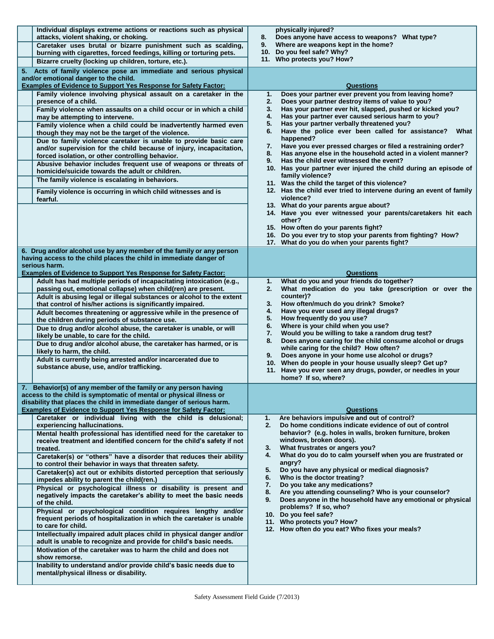| Individual displays extreme actions or reactions such as physical<br>attacks, violent shaking, or choking.                                      | physically injured?<br>8.<br>Does anyone have access to weapons? What type?                                           |  |  |  |  |
|-------------------------------------------------------------------------------------------------------------------------------------------------|-----------------------------------------------------------------------------------------------------------------------|--|--|--|--|
| Caretaker uses brutal or bizarre punishment such as scalding,                                                                                   | Where are weapons kept in the home?<br>9.                                                                             |  |  |  |  |
| burning with cigarettes, forced feedings, killing or torturing pets.                                                                            | Do you feel safe? Why?<br>10.                                                                                         |  |  |  |  |
| Bizarre cruelty (locking up children, torture, etc.).                                                                                           | 11. Who protects you? How?                                                                                            |  |  |  |  |
| 5. Acts of family violence pose an immediate and serious physical<br>and/or emotional danger to the child.                                      |                                                                                                                       |  |  |  |  |
| <b>Examples of Evidence to Support Yes Response for Safety Factor:</b>                                                                          | Questions                                                                                                             |  |  |  |  |
| Family violence involving physical assault on a caretaker in the<br>presence of a child.                                                        | Does your partner ever prevent you from leaving home?<br>1.<br>2.<br>Does your partner destroy items of value to you? |  |  |  |  |
| Family violence when assaults on a child occur or in which a child                                                                              | 3.<br>Has your partner ever hit, slapped, pushed or kicked you?                                                       |  |  |  |  |
| may be attempting to intervene.                                                                                                                 | Has your partner ever caused serious harm to you?<br>4.                                                               |  |  |  |  |
| Family violence when a child could be inadvertently harmed even<br>though they may not be the target of the violence.                           | Has your partner verbally threatened you?<br>5.<br>Have the police ever been called for assistance?<br>What<br>6.     |  |  |  |  |
| Due to family violence caretaker is unable to provide basic care                                                                                | happened?<br>Have you ever pressed charges or filed a restraining order?<br>7.                                        |  |  |  |  |
| and/or supervision for the child because of injury, incapacitation,<br>forced isolation, or other controlling behavior.                         | Has anyone else in the household acted in a violent manner?<br>8.                                                     |  |  |  |  |
| Abusive behavior includes frequent use of weapons or threats of                                                                                 | Has the child ever witnessed the event?<br>9.                                                                         |  |  |  |  |
| homicide/suicide towards the adult or children.                                                                                                 | 10. Has your partner ever injured the child during an episode of                                                      |  |  |  |  |
| The family violence is escalating in behaviors.                                                                                                 | family violence?<br>11. Was the child the target of this violence?                                                    |  |  |  |  |
| Family violence is occurring in which child witnesses and is<br>fearful.                                                                        | 12. Has the child ever tried to intervene during an event of family<br>violence?                                      |  |  |  |  |
|                                                                                                                                                 | 13. What do your parents arque about?                                                                                 |  |  |  |  |
|                                                                                                                                                 | 14. Have you ever witnessed your parents/caretakers hit each<br>other?                                                |  |  |  |  |
|                                                                                                                                                 | 15. How often do your parents fight?<br>16. Do you ever try to stop your parents from fighting? How?                  |  |  |  |  |
|                                                                                                                                                 | 17. What do you do when your parents fight?                                                                           |  |  |  |  |
| 6. Drug and/or alcohol use by any member of the family or any person                                                                            |                                                                                                                       |  |  |  |  |
| having access to the child places the child in immediate danger of                                                                              |                                                                                                                       |  |  |  |  |
| serious harm.<br><b>Examples of Evidence to Support Yes Response for Safety Factor:</b>                                                         | <b>Questions</b>                                                                                                      |  |  |  |  |
| Adult has had multiple periods of incapacitating intoxication (e.g.,                                                                            | What do you and your friends do together?<br>1.                                                                       |  |  |  |  |
| passing out, emotional collapse) when child(ren) are present.                                                                                   | What medication do you take (prescription or over the<br>2.                                                           |  |  |  |  |
| Adult is abusing legal or illegal substances or alcohol to the extent                                                                           | counter)?                                                                                                             |  |  |  |  |
| that control of his/her actions is significantly impaired.                                                                                      | How often/much do you drink? Smoke?<br>3.<br>Have you ever used any illegal drugs?<br>4.                              |  |  |  |  |
| Adult becomes threatening or aggressive while in the presence of<br>the children during periods of substance use.                               | 5.<br>How frequently do you use?                                                                                      |  |  |  |  |
| Due to drug and/or alcohol abuse, the caretaker is unable, or will                                                                              | Where is your child when you use?<br>6.                                                                               |  |  |  |  |
| likely be unable, to care for the child.                                                                                                        | Would you be willing to take a random drug test?<br>7.                                                                |  |  |  |  |
| Due to drug and/or alcohol abuse, the caretaker has harmed, or is<br>likely to harm, the child.                                                 | Does anyone caring for the child consume alcohol or drugs<br>8.<br>while caring for the child? How often?             |  |  |  |  |
| Adult is currently being arrested and/or incarcerated due to                                                                                    | Does anyone in your home use alcohol or drugs?<br>9.<br>10. When do people in your house usually sleep? Get up?       |  |  |  |  |
| substance abuse, use, and/or trafficking.                                                                                                       | 11. Have you ever seen any drugs, powder, or needles in your                                                          |  |  |  |  |
|                                                                                                                                                 | home? If so, where?                                                                                                   |  |  |  |  |
| 7. Behavior(s) of any member of the family or any person having                                                                                 |                                                                                                                       |  |  |  |  |
| access to the child is symptomatic of mental or physical illness or                                                                             |                                                                                                                       |  |  |  |  |
| disability that places the child in immediate danger of serious harm.<br><b>Examples of Evidence to Support Yes Response for Safety Factor:</b> | <b>Questions</b>                                                                                                      |  |  |  |  |
| Caretaker or individual living with the child is delusional;                                                                                    | Are behaviors impulsive and out of control?<br>1.                                                                     |  |  |  |  |
| experiencing hallucinations.                                                                                                                    | Do home conditions indicate evidence of out of control<br>2.                                                          |  |  |  |  |
| Mental health professional has identified need for the caretaker to                                                                             | behavior? (e.g. holes in walls, broken furniture, broken                                                              |  |  |  |  |
| receive treatment and identified concern for the child's safety if not                                                                          | windows, broken doors).<br>What frustrates or angers you?                                                             |  |  |  |  |
| treated.<br>Caretaker(s) or "others" have a disorder that reduces their ability                                                                 | 3.<br>What do you do to calm yourself when you are frustrated or<br>4.                                                |  |  |  |  |
| to control their behavior in ways that threaten safety.                                                                                         | angry?<br>Do you have any physical or medical diagnosis?<br>5.                                                        |  |  |  |  |
| Caretaker(s) act out or exhibits distorted perception that seriously<br>impedes ability to parent the child(ren.)                               | Who is the doctor treating?<br>6.<br>Do you take any medications?<br>7.                                               |  |  |  |  |
| Physical or psychological illness or disability is present and<br>negatively impacts the caretaker's ability to meet the basic needs            | Are you attending counseling? Who is your counselor?<br>8.                                                            |  |  |  |  |
| of the child.                                                                                                                                   | Does anyone in the household have any emotional or physical<br>9.<br>problems? If so, who?                            |  |  |  |  |
| Physical or psychological condition requires lengthy and/or<br>frequent periods of hospitalization in which the caretaker is unable             | 10. Do you feel safe?                                                                                                 |  |  |  |  |
| to care for child.                                                                                                                              | 11. Who protects you? How?                                                                                            |  |  |  |  |
| Intellectually impaired adult places child in physical danger and/or                                                                            | 12. How often do you eat? Who fixes your meals?                                                                       |  |  |  |  |
| adult is unable to recognize and provide for child's basic needs.                                                                               |                                                                                                                       |  |  |  |  |
| Motivation of the caretaker was to harm the child and does not<br>show remorse.                                                                 |                                                                                                                       |  |  |  |  |
| Inability to understand and/or provide child's basic needs due to<br>mental/physical illness or disability.                                     |                                                                                                                       |  |  |  |  |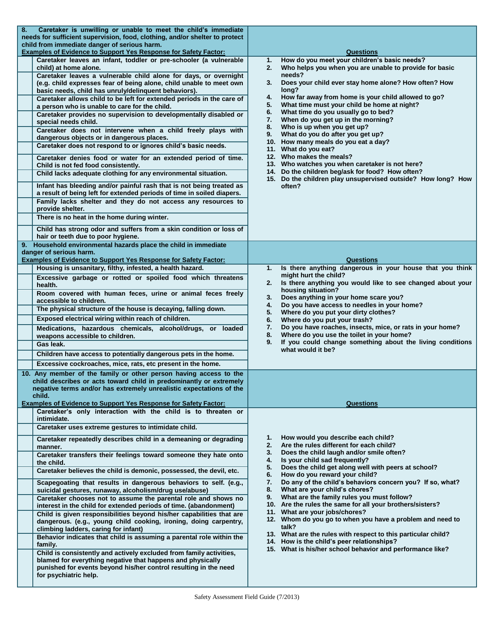| 8. | Caretaker is unwilling or unable to meet the child's immediate                                                                                          |                                                                                                                    |
|----|---------------------------------------------------------------------------------------------------------------------------------------------------------|--------------------------------------------------------------------------------------------------------------------|
|    | needs for sufficient supervision, food, clothing, and/or shelter to protect<br>child from immediate danger of serious harm.                             |                                                                                                                    |
|    | <b>Examples of Evidence to Support Yes Response for Safety Factor:</b>                                                                                  | Questions                                                                                                          |
|    | Caretaker leaves an infant, toddler or pre-schooler (a vulnerable<br>child) at home alone.                                                              | How do you meet your children's basic needs?<br>1.<br>Who helps you when you are unable to provide for basic<br>2. |
|    | Caretaker leaves a vulnerable child alone for days, or overnight                                                                                        | needs?                                                                                                             |
|    | (e.g. child expresses fear of being alone, child unable to meet own                                                                                     | Does your child ever stay home alone? How often? How<br>3.                                                         |
|    | basic needs, child has unruly/delinquent behaviors).                                                                                                    | long?<br>How far away from home is your child allowed to go?<br>4.                                                 |
|    | Caretaker allows child to be left for extended periods in the care of<br>a person who is unable to care for the child.                                  | What time must your child be home at night?<br>5.                                                                  |
|    | Caretaker provides no supervision to developmentally disabled or                                                                                        | What time do you usually go to bed?<br>6.                                                                          |
|    | special needs child.                                                                                                                                    | When do you get up in the morning?<br>7.                                                                           |
|    | Caretaker does not intervene when a child freely plays with                                                                                             | Who is up when you get up?<br>8.<br>What do you do after you get up?<br>9.                                         |
|    | dangerous objects or in dangerous places.                                                                                                               | 10. How many meals do you eat a day?                                                                               |
|    | Caretaker does not respond to or ignores child's basic needs.                                                                                           | 11. What do you eat?<br>12. Who makes the meals?                                                                   |
|    | Caretaker denies food or water for an extended period of time.<br>Child is not fed food consistently.                                                   | 13. Who watches you when caretaker is not here?                                                                    |
|    | Child lacks adequate clothing for any environmental situation.                                                                                          | 14. Do the children beg/ask for food? How often?<br>15. Do the children play unsupervised outside? How long? How   |
|    | Infant has bleeding and/or painful rash that is not being treated as<br>a result of being left for extended periods of time in soiled diapers.          | often?                                                                                                             |
|    | Family lacks shelter and they do not access any resources to<br>provide shelter.                                                                        |                                                                                                                    |
|    | There is no heat in the home during winter.                                                                                                             |                                                                                                                    |
|    | Child has strong odor and suffers from a skin condition or loss of                                                                                      |                                                                                                                    |
|    | hair or teeth due to poor hygiene.<br>9. Household environmental hazards place the child in immediate                                                   |                                                                                                                    |
|    | danger of serious harm.                                                                                                                                 |                                                                                                                    |
|    | <b>Examples of Evidence to Support Yes Response for Safety Factor:</b>                                                                                  | <b>Questions</b>                                                                                                   |
|    | Housing is unsanitary, filthy, infested, a health hazard.                                                                                               | Is there anything dangerous in your house that you think<br>1.                                                     |
|    | Excessive garbage or rotted or spoiled food which threatens<br>health.                                                                                  | might hurt the child?<br>Is there anything you would like to see changed about your<br>2.                          |
|    | Room covered with human feces, urine or animal feces freely                                                                                             | housing situation?<br>Does anything in your home scare you?<br>3.                                                  |
|    | accessible to children.                                                                                                                                 | Do you have access to needles in your home?<br>4.                                                                  |
|    | The physical structure of the house is decaying, falling down.                                                                                          | Where do you put your dirty clothes?<br>5.                                                                         |
|    | Exposed electrical wiring within reach of children.                                                                                                     | Where do you put your trash?<br>6.                                                                                 |
|    | Medications, hazardous chemicals, alcohol/drugs, or loaded<br>weapons accessible to children.                                                           | Do you have roaches, insects, mice, or rats in your home?<br>7.<br>Where do you use the toilet in your home?<br>8. |
|    | Gas leak.                                                                                                                                               | If you could change something about the living conditions<br>9.                                                    |
|    | Children have access to potentially dangerous pets in the home.                                                                                         | what would it be?                                                                                                  |
|    | Excessive cockroaches, mice, rats, etc present in the home.                                                                                             |                                                                                                                    |
|    | 10. Any member of the family or other person having access to the                                                                                       |                                                                                                                    |
|    | child describes or acts toward child in predominantly or extremely                                                                                      |                                                                                                                    |
|    | negative terms and/or has extremely unrealistic expectations of the<br>child.                                                                           |                                                                                                                    |
|    | <b>Examples of Evidence to Support Yes Response for Safety Factor:</b>                                                                                  | Questions                                                                                                          |
|    | Caretaker's only interaction with the child is to threaten or<br>intimidate.                                                                            |                                                                                                                    |
|    | Caretaker uses extreme gestures to intimidate child.                                                                                                    |                                                                                                                    |
|    | Caretaker repeatedly describes child in a demeaning or degrading<br>manner.                                                                             | How would you describe each child?<br>1.<br>2.<br>Are the rules different for each child?                          |
|    | Caretaker transfers their feelings toward someone they hate onto<br>the child.                                                                          | Does the child laugh and/or smile often?<br>3.<br>Is your child sad frequently?<br>4.                              |
|    | Caretaker believes the child is demonic, possessed, the devil, etc.                                                                                     | Does the child get along well with peers at school?<br>5.<br>How do you reward your child?<br>6.                   |
|    | Scapegoating that results in dangerous behaviors to self. (e.g.,                                                                                        | Do any of the child's behaviors concern you? If so, what?<br>7.<br>What are your child's chores?<br>8.             |
|    | suicidal gestures, runaway, alcoholism/drug use/abuse)<br>Caretaker chooses not to assume the parental role and shows no                                | What are the family rules you must follow?<br>9.                                                                   |
|    | interest in the child for extended periods of time. (abandonment)                                                                                       | 10. Are the rules the same for all your brothers/sisters?                                                          |
|    | Child is given responsibilities beyond his/her capabilities that are                                                                                    | 11. What are your jobs/chores?                                                                                     |
|    | dangerous. (e.g., young child cooking, ironing, doing carpentry,<br>climbing ladders, caring for infant)                                                | 12. Whom do you go to when you have a problem and need to<br>talk?                                                 |
|    | Behavior indicates that child is assuming a parental role within the                                                                                    | 13. What are the rules with respect to this particular child?                                                      |
|    | family.                                                                                                                                                 | 14. How is the child's peer relationships?<br>15. What is his/her school behavior and performance like?            |
|    | Child is consistently and actively excluded from family activities,                                                                                     |                                                                                                                    |
|    | blamed for everything negative that happens and physically<br>punished for events beyond his/her control resulting in the need<br>for psychiatric help. |                                                                                                                    |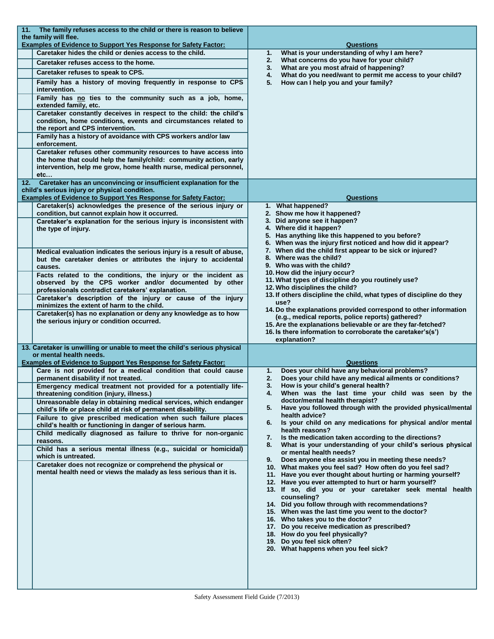| 11. The family refuses access to the child or there is reason to believe<br>the family will flee.                                                                                                                 |                                                                                                                                                                                                                                                                                                                                                                                                                                                                                                                                                                    |
|-------------------------------------------------------------------------------------------------------------------------------------------------------------------------------------------------------------------|--------------------------------------------------------------------------------------------------------------------------------------------------------------------------------------------------------------------------------------------------------------------------------------------------------------------------------------------------------------------------------------------------------------------------------------------------------------------------------------------------------------------------------------------------------------------|
| <b>Examples of Evidence to Support Yes Response for Safety Factor:</b>                                                                                                                                            | <b>Questions</b>                                                                                                                                                                                                                                                                                                                                                                                                                                                                                                                                                   |
| Caretaker hides the child or denies access to the child.                                                                                                                                                          | What is your understanding of why I am here?<br>1.                                                                                                                                                                                                                                                                                                                                                                                                                                                                                                                 |
| Caretaker refuses access to the home.                                                                                                                                                                             | What concerns do you have for your child?<br>2.<br>What are you most afraid of happening?<br>3.                                                                                                                                                                                                                                                                                                                                                                                                                                                                    |
| Caretaker refuses to speak to CPS.                                                                                                                                                                                | What do you need/want to permit me access to your child?<br>4.                                                                                                                                                                                                                                                                                                                                                                                                                                                                                                     |
| Family has a history of moving frequently in response to CPS<br>intervention.                                                                                                                                     | How can I help you and your family?<br>5.                                                                                                                                                                                                                                                                                                                                                                                                                                                                                                                          |
| Family has no ties to the community such as a job, home,<br>extended family, etc.                                                                                                                                 |                                                                                                                                                                                                                                                                                                                                                                                                                                                                                                                                                                    |
| Caretaker constantly deceives in respect to the child: the child's<br>condition, home conditions, events and circumstances related to<br>the report and CPS intervention.                                         |                                                                                                                                                                                                                                                                                                                                                                                                                                                                                                                                                                    |
| Family has a history of avoidance with CPS workers and/or law<br>enforcement.                                                                                                                                     |                                                                                                                                                                                                                                                                                                                                                                                                                                                                                                                                                                    |
| Caretaker refuses other community resources to have access into<br>the home that could help the family/child: community action, early<br>intervention, help me grow, home health nurse, medical personnel,<br>etc |                                                                                                                                                                                                                                                                                                                                                                                                                                                                                                                                                                    |
| 12. Caretaker has an unconvincing or insufficient explanation for the<br>child's serious injury or physical condition.                                                                                            |                                                                                                                                                                                                                                                                                                                                                                                                                                                                                                                                                                    |
| <b>Examples of Evidence to Support Yes Response for Safety Factor:</b>                                                                                                                                            | <b>Questions</b>                                                                                                                                                                                                                                                                                                                                                                                                                                                                                                                                                   |
| Caretaker(s) acknowledges the presence of the serious injury or<br>condition, but cannot explain how it occurred.                                                                                                 | 1. What happened?<br>2. Show me how it happened?                                                                                                                                                                                                                                                                                                                                                                                                                                                                                                                   |
| Caretaker's explanation for the serious injury is inconsistent with<br>the type of injury.                                                                                                                        | 3. Did anyone see it happen?<br>4. Where did it happen?<br>5. Has anything like this happened to you before?<br>6. When was the injury first noticed and how did it appear?                                                                                                                                                                                                                                                                                                                                                                                        |
| Medical evaluation indicates the serious injury is a result of abuse,<br>but the caretaker denies or attributes the injury to accidental<br>causes.                                                               | 7. When did the child first appear to be sick or injured?<br>8. Where was the child?<br>9. Who was with the child?                                                                                                                                                                                                                                                                                                                                                                                                                                                 |
| Facts related to the conditions, the injury or the incident as<br>observed by the CPS worker and/or documented by other<br>professionals contradict caretakers' explanation.                                      | 10. How did the injury occur?<br>11. What types of discipline do you routinely use?<br>12. Who disciplines the child?                                                                                                                                                                                                                                                                                                                                                                                                                                              |
| Caretaker's description of the injury or cause of the injury<br>minimizes the extent of harm to the child.                                                                                                        | 13. If others discipline the child, what types of discipline do they<br>use?                                                                                                                                                                                                                                                                                                                                                                                                                                                                                       |
| Caretaker(s) has no explanation or deny any knowledge as to how<br>the serious injury or condition occurred.                                                                                                      | 14. Do the explanations provided correspond to other information<br>(e.g., medical reports, police reports) gathered?<br>15. Are the explanations believable or are they far-fetched?<br>16. Is there information to corroborate the caretaker's(s')<br>explanation?                                                                                                                                                                                                                                                                                               |
| 13. Caretaker is unwilling or unable to meet the child's serious physical<br>or mental health needs.                                                                                                              |                                                                                                                                                                                                                                                                                                                                                                                                                                                                                                                                                                    |
| <b>Examples of Evidence to Support Yes Response for Safety Factor:</b>                                                                                                                                            | Questions                                                                                                                                                                                                                                                                                                                                                                                                                                                                                                                                                          |
| Care is not provided for a medical condition that could cause<br>permanent disability if not treated.                                                                                                             | Does your child have any behavioral problems?<br>1.<br>Does your child have any medical ailments or conditions?<br>2.                                                                                                                                                                                                                                                                                                                                                                                                                                              |
| Emergency medical treatment not provided for a potentially life-<br>threatening condition (injury, illness.)                                                                                                      | 3.<br>How is your child's general health?<br>When was the last time your child was seen by the                                                                                                                                                                                                                                                                                                                                                                                                                                                                     |
| Unreasonable delay in obtaining medical services, which endanger<br>child's life or place child at risk of permanent disability.                                                                                  | doctor/mental health therapist?<br>Have you followed through with the provided physical/mental<br>5.                                                                                                                                                                                                                                                                                                                                                                                                                                                               |
| Failure to give prescribed medication when such failure places                                                                                                                                                    | health advice?<br>Is your child on any medications for physical and/or mental<br>6.                                                                                                                                                                                                                                                                                                                                                                                                                                                                                |
| child's health or functioning in danger of serious harm.<br>Child medically diagnosed as failure to thrive for non-organic                                                                                        | health reasons?                                                                                                                                                                                                                                                                                                                                                                                                                                                                                                                                                    |
| reasons.<br>Child has a serious mental illness (e.g., suicidal or homicidal)                                                                                                                                      | Is the medication taken according to the directions?<br>7.<br>What is your understanding of your child's serious physical<br>8.<br>or mental health needs?                                                                                                                                                                                                                                                                                                                                                                                                         |
| which is untreated.                                                                                                                                                                                               | Does anyone else assist you in meeting these needs?<br>9.                                                                                                                                                                                                                                                                                                                                                                                                                                                                                                          |
| Caretaker does not recognize or comprehend the physical or<br>mental health need or views the malady as less serious than it is.                                                                                  | 10. What makes you feel sad? How often do you feel sad?<br>11. Have you ever thought about hurting or harming yourself?<br>12. Have you ever attempted to hurt or harm yourself?<br>13. If so, did you or your caretaker seek mental health<br>counseling?<br>14. Did you follow through with recommendations?<br>15. When was the last time you went to the doctor?<br>16. Who takes you to the doctor?<br>17. Do you receive medication as prescribed?<br>18. How do you feel physically?<br>19. Do you feel sick often?<br>20. What happens when you feel sick? |
|                                                                                                                                                                                                                   |                                                                                                                                                                                                                                                                                                                                                                                                                                                                                                                                                                    |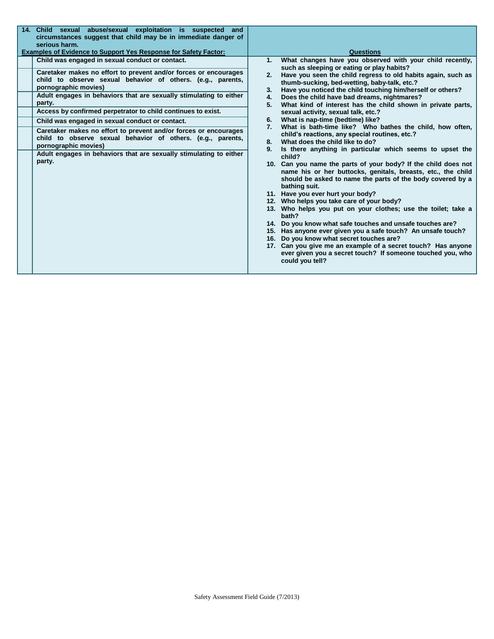| 14. Child sexual abuse/sexual exploitation is suspected and<br>circumstances suggest that child may be in immediate danger of<br>serious harm.<br><b>Examples of Evidence to Support Yes Response for Safety Factor:</b>                                                                                                                                                                                                                                                                                                                                                                                                                                 | Questions                                                                                                                                                                                                                                                                                                                                                                                                                                                                                                                                                                                                                                                                                                                                                                                                                                                                                                                                                                                                                                                                                                                                                                                                                                                                                                                                                                                                                                                      |
|----------------------------------------------------------------------------------------------------------------------------------------------------------------------------------------------------------------------------------------------------------------------------------------------------------------------------------------------------------------------------------------------------------------------------------------------------------------------------------------------------------------------------------------------------------------------------------------------------------------------------------------------------------|----------------------------------------------------------------------------------------------------------------------------------------------------------------------------------------------------------------------------------------------------------------------------------------------------------------------------------------------------------------------------------------------------------------------------------------------------------------------------------------------------------------------------------------------------------------------------------------------------------------------------------------------------------------------------------------------------------------------------------------------------------------------------------------------------------------------------------------------------------------------------------------------------------------------------------------------------------------------------------------------------------------------------------------------------------------------------------------------------------------------------------------------------------------------------------------------------------------------------------------------------------------------------------------------------------------------------------------------------------------------------------------------------------------------------------------------------------------|
| Child was engaged in sexual conduct or contact.<br>Caretaker makes no effort to prevent and/or forces or encourages<br>child to observe sexual behavior of others. (e.g., parents,<br>pornographic movies)<br>Adult engages in behaviors that are sexually stimulating to either<br>party.<br>Access by confirmed perpetrator to child continues to exist.<br>Child was engaged in sexual conduct or contact.<br>Caretaker makes no effort to prevent and/or forces or encourages<br>child to observe sexual behavior of others. (e.g., parents,<br>pornographic movies)<br>Adult engages in behaviors that are sexually stimulating to either<br>party. | What changes have you observed with your child recently,<br>1.<br>such as sleeping or eating or play habits?<br>2. Have you seen the child regress to old habits again, such as<br>thumb-sucking, bed-wetting, baby-talk, etc.?<br>Have you noticed the child touching him/herself or others?<br>3.<br>Does the child have bad dreams, nightmares?<br>4.<br>What kind of interest has the child shown in private parts,<br>5.<br>sexual activity, sexual talk, etc.?<br>What is nap-time (bedtime) like?<br>6.<br>What is bath-time like? Who bathes the child, how often,<br>7.<br>child's reactions, any special routines, etc.?<br>What does the child like to do?<br>8.<br>Is there anything in particular which seems to upset the<br>9.<br>child?<br>10. Can you name the parts of your body? If the child does not<br>name his or her buttocks, genitals, breasts, etc., the child<br>should be asked to name the parts of the body covered by a<br>bathing suit.<br>11. Have you ever hurt your body?<br>12. Who helps you take care of your body?<br>13. Who helps you put on your clothes; use the toilet; take a<br>bath?<br>14. Do you know what safe touches and unsafe touches are?<br>15. Has anyone ever given you a safe touch? An unsafe touch?<br>16. Do you know what secret touches are?<br>17. Can you give me an example of a secret touch? Has anyone<br>ever given you a secret touch? If someone touched you, who<br>could you tell? |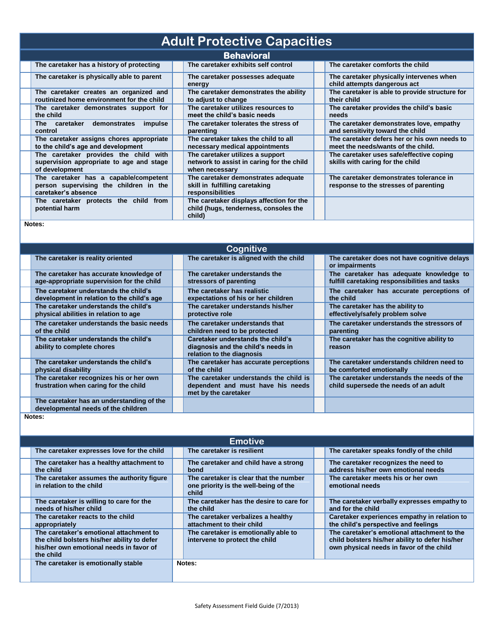| <b>Adult Protective Capacities</b>                                                                     |  |                                                                                                 |  |                                                                                    |  |  |
|--------------------------------------------------------------------------------------------------------|--|-------------------------------------------------------------------------------------------------|--|------------------------------------------------------------------------------------|--|--|
| <b>Behavioral</b>                                                                                      |  |                                                                                                 |  |                                                                                    |  |  |
| The caretaker has a history of protecting                                                              |  | The caretaker exhibits self control                                                             |  | The caretaker comforts the child                                                   |  |  |
| The caretaker is physically able to parent                                                             |  | The caretaker possesses adequate<br>energy                                                      |  | The caretaker physically intervenes when<br>child attempts dangerous act           |  |  |
| The caretaker creates an organized and<br>routinized home environment for the child                    |  | The caretaker demonstrates the ability<br>to adjust to change                                   |  | The caretaker is able to provide structure for<br>their child                      |  |  |
| The caretaker demonstrates support for<br>the child                                                    |  | The caretaker utilizes resources to<br>meet the child's basic needs                             |  | The caretaker provides the child's basic<br>needs                                  |  |  |
| The caretaker demonstrates<br>impulse<br>control                                                       |  | The caretaker tolerates the stress of<br>parenting                                              |  | The caretaker demonstrates love, empathy<br>and sensitivity toward the child       |  |  |
| The caretaker assigns chores appropriate<br>to the child's age and development                         |  | The caretaker takes the child to all<br>necessary medical appointments                          |  | The caretaker defers her or his own needs to<br>meet the needs/wants of the child. |  |  |
| The caretaker provides the child with<br>supervision appropriate to age and stage<br>of development    |  | The caretaker utilizes a support<br>network to assist in caring for the child<br>when necessary |  | The caretaker uses safe/effective coping<br>skills with caring for the child       |  |  |
| The caretaker has a capable/competent<br>person supervising the children in the<br>caretaker's absence |  | The caretaker demonstrates adequate<br>skill in fulfilling caretaking<br>responsibilities       |  | The caretaker demonstrates tolerance in<br>response to the stresses of parenting   |  |  |
| The caretaker protects the child from<br>potential harm                                                |  | The caretaker displays affection for the<br>child (hugs, tenderness, consoles the<br>child)     |  |                                                                                    |  |  |

**Notes:**

| Cognitive                                                                            |  |                                                                                                      |  |                                                                                          |  |  |
|--------------------------------------------------------------------------------------|--|------------------------------------------------------------------------------------------------------|--|------------------------------------------------------------------------------------------|--|--|
| The caretaker is reality oriented                                                    |  | The caretaker is aligned with the child                                                              |  | The caretaker does not have cognitive delays<br>or impairments                           |  |  |
| The caretaker has accurate knowledge of<br>age-appropriate supervision for the child |  | The caretaker understands the<br>stressors of parenting                                              |  | The caretaker has adequate knowledge to<br>fulfill caretaking responsibilities and tasks |  |  |
| The caretaker understands the child's<br>development in relation to the child's age  |  | The caretaker has realistic<br>expectations of his or her children                                   |  | The caretaker has accurate perceptions of<br>the child                                   |  |  |
| The caretaker understands the child's<br>physical abilities in relation to age       |  | The caretaker understands his/her<br>protective role                                                 |  | The caretaker has the ability to<br>effectively/safely problem solve                     |  |  |
| The caretaker understands the basic needs<br>of the child                            |  | The caretaker understands that<br>children need to be protected                                      |  | The caretaker understands the stressors of<br>parenting                                  |  |  |
| The caretaker understands the child's<br>ability to complete chores                  |  | Caretaker understands the child's<br>diagnosis and the child's needs in<br>relation to the diagnosis |  | The caretaker has the cognitive ability to<br>reason                                     |  |  |
| The caretaker understands the child's<br>physical disability                         |  | The caretaker has accurate perceptions<br>of the child                                               |  | The caretaker understands children need to<br>be comforted emotionally                   |  |  |
| The caretaker recognizes his or her own<br>frustration when caring for the child     |  | The caretaker understands the child is<br>dependent and must have his needs<br>met by the caretaker  |  | The caretaker understands the needs of the<br>child supersede the needs of an adult      |  |  |
| The caretaker has an understanding of the<br>developmental needs of the children     |  |                                                                                                      |  |                                                                                          |  |  |
| Notes:                                                                               |  |                                                                                                      |  |                                                                                          |  |  |

| <b>Emotive</b>                                                                                                                                 |  |                                                                                          |  |                                                                                                                                            |  |
|------------------------------------------------------------------------------------------------------------------------------------------------|--|------------------------------------------------------------------------------------------|--|--------------------------------------------------------------------------------------------------------------------------------------------|--|
| The caretaker expresses love for the child                                                                                                     |  | The caretaker is resilient                                                               |  | The caretaker speaks fondly of the child                                                                                                   |  |
| The caretaker has a healthy attachment to<br>the child                                                                                         |  | The caretaker and child have a strong<br>bond                                            |  | The caretaker recognizes the need to<br>address his/her own emotional needs                                                                |  |
| The caretaker assumes the authority figure<br>in relation to the child                                                                         |  | The caretaker is clear that the number<br>one priority is the well-being of the<br>child |  | The caretaker meets his or her own<br>emotional needs                                                                                      |  |
| The caretaker is willing to care for the<br>needs of his/her child                                                                             |  | The caretaker has the desire to care for<br>the child                                    |  | The caretaker verbally expresses empathy to<br>and for the child                                                                           |  |
| The caretaker reacts to the child<br>appropriately                                                                                             |  | The caretaker verbalizes a healthy<br>attachment to their child                          |  | Caretaker experiences empathy in relation to<br>the child's perspective and feelings                                                       |  |
| The caretaker's emotional attachment to<br>the child bolsters his/her ability to defer<br>his/her own emotional needs in favor of<br>the child |  | The caretaker is emotionally able to<br>intervene to protect the child                   |  | The caretaker's emotional attachment to the<br>child bolsters his/her ability to defer his/her<br>own physical needs in favor of the child |  |
| The caretaker is emotionally stable                                                                                                            |  | Notes:                                                                                   |  |                                                                                                                                            |  |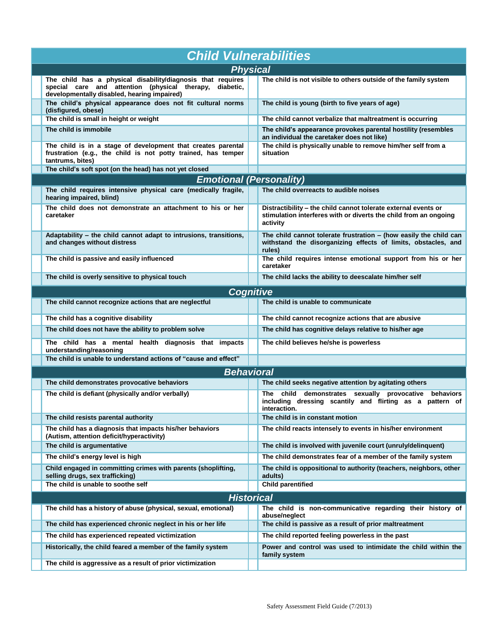| <b>Child Vulnerabilities</b>                                                                                                                                          |  |                                                                                                                                                |  |  |  |  |  |  |  |
|-----------------------------------------------------------------------------------------------------------------------------------------------------------------------|--|------------------------------------------------------------------------------------------------------------------------------------------------|--|--|--|--|--|--|--|
| <b>Physical</b>                                                                                                                                                       |  |                                                                                                                                                |  |  |  |  |  |  |  |
| The child has a physical disability/diagnosis that requires<br>special care and attention (physical therapy, diabetic,<br>developmentally disabled, hearing impaired) |  | The child is not visible to others outside of the family system                                                                                |  |  |  |  |  |  |  |
| The child's physical appearance does not fit cultural norms<br>(disfigured, obese)                                                                                    |  | The child is young (birth to five years of age)                                                                                                |  |  |  |  |  |  |  |
| The child is small in height or weight                                                                                                                                |  | The child cannot verbalize that maltreatment is occurring                                                                                      |  |  |  |  |  |  |  |
| The child is immobile                                                                                                                                                 |  | The child's appearance provokes parental hostility (resembles<br>an individual the caretaker does not like)                                    |  |  |  |  |  |  |  |
| The child is in a stage of development that creates parental<br>frustration (e.g., the child is not potty trained, has temper<br>tantrums, bites)                     |  | The child is physically unable to remove him/her self from a<br>situation                                                                      |  |  |  |  |  |  |  |
| The child's soft spot (on the head) has not yet closed                                                                                                                |  |                                                                                                                                                |  |  |  |  |  |  |  |
| <b>Emotional (Personality)</b>                                                                                                                                        |  |                                                                                                                                                |  |  |  |  |  |  |  |
| The child requires intensive physical care (medically fragile,<br>hearing impaired, blind)                                                                            |  | The child overreacts to audible noises                                                                                                         |  |  |  |  |  |  |  |
| The child does not demonstrate an attachment to his or her<br>caretaker                                                                                               |  | Distractibility - the child cannot tolerate external events or<br>stimulation interferes with or diverts the child from an ongoing<br>activity |  |  |  |  |  |  |  |
| Adaptability - the child cannot adapt to intrusions, transitions,<br>and changes without distress                                                                     |  | The child cannot tolerate frustration $-$ (how easily the child can<br>withstand the disorganizing effects of limits, obstacles, and<br>rules) |  |  |  |  |  |  |  |
| The child is passive and easily influenced                                                                                                                            |  | The child requires intense emotional support from his or her<br>caretaker                                                                      |  |  |  |  |  |  |  |
| The child is overly sensitive to physical touch                                                                                                                       |  | The child lacks the ability to deescalate him/her self                                                                                         |  |  |  |  |  |  |  |
| Cognitive                                                                                                                                                             |  |                                                                                                                                                |  |  |  |  |  |  |  |
| The child cannot recognize actions that are neglectful                                                                                                                |  | The child is unable to communicate                                                                                                             |  |  |  |  |  |  |  |
| The child has a cognitive disability                                                                                                                                  |  | The child cannot recognize actions that are abusive                                                                                            |  |  |  |  |  |  |  |
| The child does not have the ability to problem solve                                                                                                                  |  | The child has cognitive delays relative to his/her age                                                                                         |  |  |  |  |  |  |  |
| The child has a mental health diagnosis that impacts<br>understanding/reasoning                                                                                       |  | The child believes he/she is powerless                                                                                                         |  |  |  |  |  |  |  |
| The child is unable to understand actions of "cause and effect"                                                                                                       |  |                                                                                                                                                |  |  |  |  |  |  |  |
| <b>Behavioral</b>                                                                                                                                                     |  |                                                                                                                                                |  |  |  |  |  |  |  |
| The child demonstrates provocative behaviors                                                                                                                          |  | The child seeks negative attention by agitating others                                                                                         |  |  |  |  |  |  |  |
| The child is defiant (physically and/or verbally)                                                                                                                     |  | The child demonstrates sexually provocative behaviors<br>including dressing scantily and flirting as a pattern of<br>interaction.              |  |  |  |  |  |  |  |
| The child resists parental authority                                                                                                                                  |  | The child is in constant motion                                                                                                                |  |  |  |  |  |  |  |
| The child has a diagnosis that impacts his/her behaviors<br>(Autism, attention deficit/hyperactivity)                                                                 |  | The child reacts intensely to events in his/her environment                                                                                    |  |  |  |  |  |  |  |
| The child is argumentative                                                                                                                                            |  | The child is involved with juvenile court (unruly/delinquent)                                                                                  |  |  |  |  |  |  |  |
| The child's energy level is high                                                                                                                                      |  | The child demonstrates fear of a member of the family system                                                                                   |  |  |  |  |  |  |  |
| Child engaged in committing crimes with parents (shoplifting,<br>selling drugs, sex trafficking)                                                                      |  | The child is oppositional to authority (teachers, neighbors, other<br>adults)                                                                  |  |  |  |  |  |  |  |
| The child is unable to soothe self                                                                                                                                    |  | <b>Child parentified</b>                                                                                                                       |  |  |  |  |  |  |  |
| <b>Historical</b>                                                                                                                                                     |  |                                                                                                                                                |  |  |  |  |  |  |  |
| The child has a history of abuse (physical, sexual, emotional)                                                                                                        |  | The child is non-communicative regarding their history of                                                                                      |  |  |  |  |  |  |  |
| The child has experienced chronic neglect in his or her life                                                                                                          |  | abuse/neglect<br>The child is passive as a result of prior maltreatment                                                                        |  |  |  |  |  |  |  |
| The child has experienced repeated victimization                                                                                                                      |  | The child reported feeling powerless in the past                                                                                               |  |  |  |  |  |  |  |
| Historically, the child feared a member of the family system                                                                                                          |  | Power and control was used to intimidate the child within the<br>family system                                                                 |  |  |  |  |  |  |  |
| The child is aggressive as a result of prior victimization                                                                                                            |  |                                                                                                                                                |  |  |  |  |  |  |  |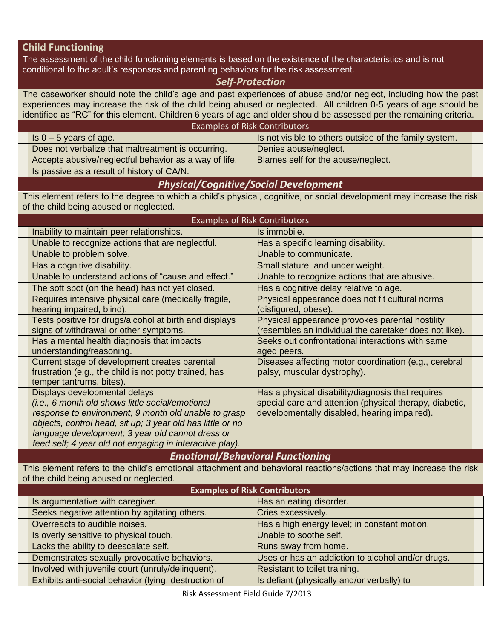#### **Child Functioning**

The assessment of the child functioning elements is based on the existence of the characteristics and is not conditional to the adult's responses and parenting behaviors for the risk assessment.

#### *Self-Protection*

The caseworker should note the child's age and past experiences of abuse and/or neglect, including how the past experiences may increase the risk of the child being abused or neglected. All children 0-5 years of age should be identified as "RC" for this element. Children 6 years of age and older should be assessed per the remaining criteria.

| <b>Examples of Risk Contributors</b>                  |                                                        |  |
|-------------------------------------------------------|--------------------------------------------------------|--|
| $\vert$ Is 0 – 5 years of age.                        | Is not visible to others outside of the family system. |  |
| Does not verbalize that maltreatment is occurring.    | Denies abuse/neglect.                                  |  |
| Accepts abusive/neglectful behavior as a way of life. | Blames self for the abuse/neglect.                     |  |
| Is passive as a result of history of CA/N.            |                                                        |  |

### *Physical/Cognitive/Social Development*

This element refers to the degree to which a child's physical, cognitive, or social development may increase the risk of the child being abused or neglected.

| <b>Examples of Risk Contributors</b>                       |                                                         |  |  |  |
|------------------------------------------------------------|---------------------------------------------------------|--|--|--|
| Inability to maintain peer relationships.                  | Is immobile.                                            |  |  |  |
| Unable to recognize actions that are neglectful.           | Has a specific learning disability.                     |  |  |  |
| Unable to problem solve.                                   | Unable to communicate.                                  |  |  |  |
| Has a cognitive disability.                                | Small stature and under weight.                         |  |  |  |
| Unable to understand actions of "cause and effect."        | Unable to recognize actions that are abusive.           |  |  |  |
| The soft spot (on the head) has not yet closed.            | Has a cognitive delay relative to age.                  |  |  |  |
| Requires intensive physical care (medically fragile,       | Physical appearance does not fit cultural norms         |  |  |  |
| hearing impaired, blind).                                  | (disfigured, obese).                                    |  |  |  |
| Tests positive for drugs/alcohol at birth and displays     | Physical appearance provokes parental hostility         |  |  |  |
| signs of withdrawal or other symptoms.                     | (resembles an individual the caretaker does not like).  |  |  |  |
| Has a mental health diagnosis that impacts                 | Seeks out confrontational interactions with same        |  |  |  |
| understanding/reasoning.                                   | aged peers.                                             |  |  |  |
| Current stage of development creates parental              | Diseases affecting motor coordination (e.g., cerebral   |  |  |  |
| frustration (e.g., the child is not potty trained, has     | palsy, muscular dystrophy).                             |  |  |  |
| temper tantrums, bites).                                   |                                                         |  |  |  |
| Displays developmental delays                              | Has a physical disability/diagnosis that requires       |  |  |  |
| (i.e., 6 month old shows little social/emotional           | special care and attention (physical therapy, diabetic, |  |  |  |
| response to environment; 9 month old unable to grasp       | developmentally disabled, hearing impaired).            |  |  |  |
| objects, control head, sit up; 3 year old has little or no |                                                         |  |  |  |
| language development; 3 year old cannot dress or           |                                                         |  |  |  |
| feed self; 4 year old not engaging in interactive play).   |                                                         |  |  |  |

#### *Emotional/Behavioral Functioning*

This element refers to the child's emotional attachment and behavioral reactions/actions that may increase the risk of the child being abused or neglected.

| <b>Examples of Risk Contributors</b>                 |                                                   |  |  |  |  |  |
|------------------------------------------------------|---------------------------------------------------|--|--|--|--|--|
| Is argumentative with caregiver.                     | Has an eating disorder.                           |  |  |  |  |  |
| Seeks negative attention by agitating others.        | Cries excessively.                                |  |  |  |  |  |
| Overreacts to audible noises.                        | Has a high energy level; in constant motion.      |  |  |  |  |  |
| Is overly sensitive to physical touch.               | Unable to soothe self.                            |  |  |  |  |  |
| Lacks the ability to deescalate self.                | Runs away from home.                              |  |  |  |  |  |
| Demonstrates sexually provocative behaviors.         | Uses or has an addiction to alcohol and/or drugs. |  |  |  |  |  |
| Involved with juvenile court (unruly/delinquent).    | Resistant to toilet training.                     |  |  |  |  |  |
| Exhibits anti-social behavior (lying, destruction of | Is defiant (physically and/or verbally) to        |  |  |  |  |  |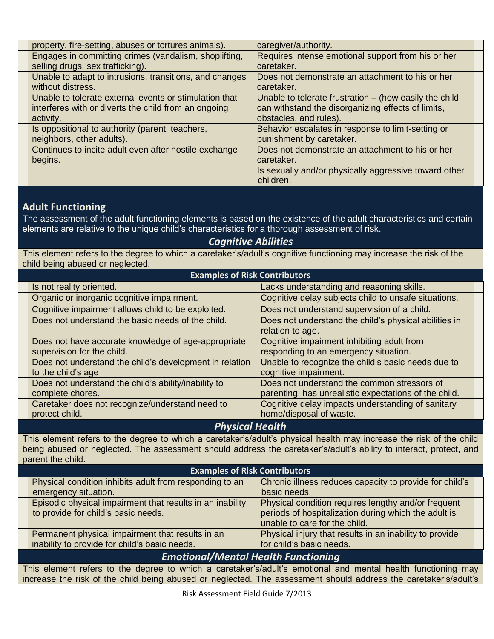| property, fire-setting, abuses or tortures animals).    | caregiver/authority.                                   |  |
|---------------------------------------------------------|--------------------------------------------------------|--|
| Engages in committing crimes (vandalism, shoplifting,   | Requires intense emotional support from his or her     |  |
| selling drugs, sex trafficking).                        | caretaker.                                             |  |
| Unable to adapt to intrusions, transitions, and changes | Does not demonstrate an attachment to his or her       |  |
| without distress.                                       | caretaker.                                             |  |
| Unable to tolerate external events or stimulation that  | Unable to tolerate frustration - (how easily the child |  |
| interferes with or diverts the child from an ongoing    | can withstand the disorganizing effects of limits,     |  |
| activity.                                               | obstacles, and rules).                                 |  |
| Is oppositional to authority (parent, teachers,         | Behavior escalates in response to limit-setting or     |  |
| neighbors, other adults).                               | punishment by caretaker.                               |  |
| Continues to incite adult even after hostile exchange   | Does not demonstrate an attachment to his or her       |  |
| begins.                                                 | caretaker.                                             |  |
|                                                         | Is sexually and/or physically aggressive toward other  |  |
|                                                         | children.                                              |  |

# **Adult Functioning**

The assessment of the adult functioning elements is based on the existence of the adult characteristics and certain elements are relative to the unique child's characteristics for a thorough assessment of risk.

### *Cognitive Abilities*

This element refers to the degree to which a caretaker's/adult's cognitive functioning may increase the risk of the child being abused or neglected.

| <b>Examples of Risk Contributors</b>                    |                                                                           |  |
|---------------------------------------------------------|---------------------------------------------------------------------------|--|
| Is not reality oriented.                                | Lacks understanding and reasoning skills.                                 |  |
| Organic or inorganic cognitive impairment.              | Cognitive delay subjects child to unsafe situations.                      |  |
| Cognitive impairment allows child to be exploited.      | Does not understand supervision of a child.                               |  |
| Does not understand the basic needs of the child.       | Does not understand the child's physical abilities in<br>relation to age. |  |
| Does not have accurate knowledge of age-appropriate     | Cognitive impairment inhibiting adult from                                |  |
| supervision for the child.                              | responding to an emergency situation.                                     |  |
| Does not understand the child's development in relation | Unable to recognize the child's basic needs due to                        |  |
| to the child's age                                      | cognitive impairment.                                                     |  |
| Does not understand the child's ability/inability to    | Does not understand the common stressors of                               |  |
| complete chores.                                        | parenting; has unrealistic expectations of the child.                     |  |
| Caretaker does not recognize/understand need to         | Cognitive delay impacts understanding of sanitary                         |  |
| protect child.                                          | home/disposal of waste.                                                   |  |

#### *Physical Health*

This element refers to the degree to which a caretaker's/adult's physical health may increase the risk of the child being abused or neglected. The assessment should address the caretaker's/adult's ability to interact, protect, and parent the child.

|                                                                                                                  | <b>Examples of Risk Contributors</b>                                                                            |                                                         |  |
|------------------------------------------------------------------------------------------------------------------|-----------------------------------------------------------------------------------------------------------------|---------------------------------------------------------|--|
|                                                                                                                  | Physical condition inhibits adult from responding to an                                                         | Chronic illness reduces capacity to provide for child's |  |
|                                                                                                                  | emergency situation.                                                                                            | basic needs.                                            |  |
| Episodic physical impairment that results in an inability<br>Physical condition requires lengthy and/or frequent |                                                                                                                 |                                                         |  |
|                                                                                                                  | to provide for child's basic needs.                                                                             | periods of hospitalization during which the adult is    |  |
|                                                                                                                  |                                                                                                                 | unable to care for the child.                           |  |
|                                                                                                                  | Permanent physical impairment that results in an                                                                | Physical injury that results in an inability to provide |  |
|                                                                                                                  | inability to provide for child's basic needs.                                                                   | for child's basic needs.                                |  |
| <b>Emotional/Mental Health Functioning</b>                                                                       |                                                                                                                 |                                                         |  |
|                                                                                                                  | This element refers to the degree to which a caretaker's/adult's emotional and mental health functioning may    |                                                         |  |
|                                                                                                                  | increase the risk of the child being abused or neglected. The assessment should address the caretaker's/adult's |                                                         |  |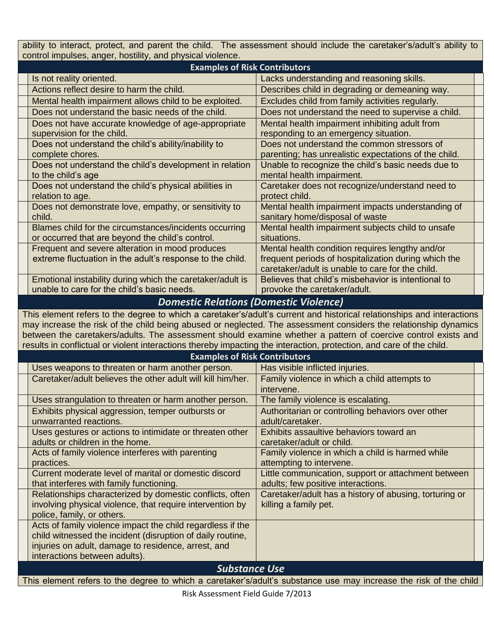ability to interact, protect, and parent the child. The assessment should include the caretaker's/adult's ability to control impulses, anger, hostility, and physical violence.

| <b>Examples of Risk Contributors</b>                                                                                                                                                                                                                                                                                                                                                                                                                                                |                                                                                                                                                             |
|-------------------------------------------------------------------------------------------------------------------------------------------------------------------------------------------------------------------------------------------------------------------------------------------------------------------------------------------------------------------------------------------------------------------------------------------------------------------------------------|-------------------------------------------------------------------------------------------------------------------------------------------------------------|
| Is not reality oriented.                                                                                                                                                                                                                                                                                                                                                                                                                                                            | Lacks understanding and reasoning skills.                                                                                                                   |
| Actions reflect desire to harm the child.                                                                                                                                                                                                                                                                                                                                                                                                                                           | Describes child in degrading or demeaning way.                                                                                                              |
| Mental health impairment allows child to be exploited.                                                                                                                                                                                                                                                                                                                                                                                                                              | Excludes child from family activities regularly.                                                                                                            |
| Does not understand the basic needs of the child.                                                                                                                                                                                                                                                                                                                                                                                                                                   | Does not understand the need to supervise a child.                                                                                                          |
| Does not have accurate knowledge of age-appropriate                                                                                                                                                                                                                                                                                                                                                                                                                                 | Mental health impairment inhibiting adult from                                                                                                              |
| supervision for the child.                                                                                                                                                                                                                                                                                                                                                                                                                                                          | responding to an emergency situation.                                                                                                                       |
| Does not understand the child's ability/inability to<br>complete chores.                                                                                                                                                                                                                                                                                                                                                                                                            | Does not understand the common stressors of<br>parenting; has unrealistic expectations of the child.                                                        |
| Does not understand the child's development in relation<br>to the child's age                                                                                                                                                                                                                                                                                                                                                                                                       | Unable to recognize the child's basic needs due to<br>mental health impairment.                                                                             |
| Does not understand the child's physical abilities in<br>relation to age.                                                                                                                                                                                                                                                                                                                                                                                                           | Caretaker does not recognize/understand need to<br>protect child.                                                                                           |
| Does not demonstrate love, empathy, or sensitivity to<br>child.                                                                                                                                                                                                                                                                                                                                                                                                                     | Mental health impairment impacts understanding of<br>sanitary home/disposal of waste                                                                        |
| Blames child for the circumstances/incidents occurring<br>or occurred that are beyond the child's control.                                                                                                                                                                                                                                                                                                                                                                          | Mental health impairment subjects child to unsafe<br>situations.                                                                                            |
| Frequent and severe alteration in mood produces<br>extreme fluctuation in the adult's response to the child.                                                                                                                                                                                                                                                                                                                                                                        | Mental health condition requires lengthy and/or<br>frequent periods of hospitalization during which the<br>caretaker/adult is unable to care for the child. |
| Emotional instability during which the caretaker/adult is<br>unable to care for the child's basic needs.                                                                                                                                                                                                                                                                                                                                                                            | Believes that child's misbehavior is intentional to<br>provoke the caretaker/adult.                                                                         |
| <b>Domestic Relations (Domestic Violence)</b>                                                                                                                                                                                                                                                                                                                                                                                                                                       |                                                                                                                                                             |
| This element refers to the degree to which a caretaker's/adult's current and historical relationships and interactions<br>may increase the risk of the child being abused or neglected. The assessment considers the relationship dynamics<br>between the caretakers/adults. The assessment should examine whether a pattern of coercive control exists and<br>results in conflictual or violent interactions thereby impacting the interaction, protection, and care of the child. |                                                                                                                                                             |
| <b>Examples of Risk Contributors</b>                                                                                                                                                                                                                                                                                                                                                                                                                                                |                                                                                                                                                             |
| Uses weapons to threaten or harm another person.                                                                                                                                                                                                                                                                                                                                                                                                                                    | Has visible inflicted injuries.                                                                                                                             |
| Caretaker/adult believes the other adult will kill him/her.                                                                                                                                                                                                                                                                                                                                                                                                                         | Family violence in which a child attempts to<br>intervene.                                                                                                  |
| Uses strangulation to threaten or harm another person.                                                                                                                                                                                                                                                                                                                                                                                                                              | The family violence is escalating.                                                                                                                          |
| Exhibits physical aggression, temper outbursts or<br>unwarranted reactions.                                                                                                                                                                                                                                                                                                                                                                                                         | Authoritarian or controlling behaviors over other<br>adult/caretaker.                                                                                       |
| Uses gestures or actions to intimidate or threaten other                                                                                                                                                                                                                                                                                                                                                                                                                            | Exhibits assaultive behaviors toward an                                                                                                                     |
| adults or children in the home.                                                                                                                                                                                                                                                                                                                                                                                                                                                     | caretaker/adult or child.                                                                                                                                   |
| Acts of family violence interferes with parenting<br>practices.                                                                                                                                                                                                                                                                                                                                                                                                                     | Family violence in which a child is harmed while<br>attempting to intervene.                                                                                |
| Current moderate level of marital or domestic discord<br>that interferes with family functioning.                                                                                                                                                                                                                                                                                                                                                                                   | Little communication, support or attachment between<br>adults; few positive interactions.                                                                   |
| Relationships characterized by domestic conflicts, often<br>involving physical violence, that require intervention by<br>police, family, or others.                                                                                                                                                                                                                                                                                                                                 | Caretaker/adult has a history of abusing, torturing or<br>killing a family pet.                                                                             |
| Acts of family violence impact the child regardless if the<br>child witnessed the incident (disruption of daily routine,<br>injuries on adult, damage to residence, arrest, and<br>interactions between adults).                                                                                                                                                                                                                                                                    |                                                                                                                                                             |

*Substance Use*

This element refers to the degree to which a caretaker's/adult's substance use may increase the risk of the child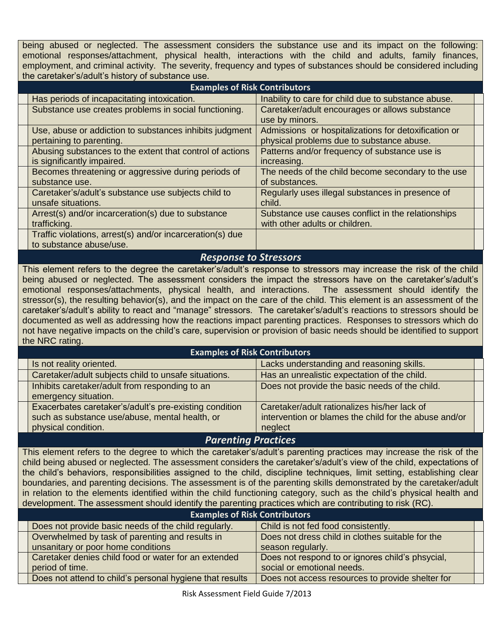being abused or neglected. The assessment considers the substance use and its impact on the following: emotional responses/attachment, physical health, interactions with the child and adults, family finances, employment, and criminal activity. The severity, frequency and types of substances should be considered including the caretaker's/adult's history of substance use.

| <b>Examples of Risk Contributors</b>                                                   |                                                                                                   |  |
|----------------------------------------------------------------------------------------|---------------------------------------------------------------------------------------------------|--|
| Has periods of incapacitating intoxication.                                            | Inability to care for child due to substance abuse.                                               |  |
| Substance use creates problems in social functioning.                                  | Caretaker/adult encourages or allows substance<br>use by minors.                                  |  |
| Use, abuse or addiction to substances inhibits judgment<br>pertaining to parenting.    | Admissions or hospitalizations for detoxification or<br>physical problems due to substance abuse. |  |
| Abusing substances to the extent that control of actions<br>is significantly impaired. | Patterns and/or frequency of substance use is<br>increasing.                                      |  |
| Becomes threatening or aggressive during periods of<br>substance use.                  | The needs of the child become secondary to the use<br>of substances.                              |  |
| Caretaker's/adult's substance use subjects child to<br>unsafe situations.              | Regularly uses illegal substances in presence of<br>child.                                        |  |
| Arrest(s) and/or incarceration(s) due to substance<br>trafficking.                     | Substance use causes conflict in the relationships<br>with other adults or children.              |  |
| Traffic violations, arrest(s) and/or incarceration(s) due<br>to substance abuse/use.   |                                                                                                   |  |

### *Response to Stressors*

This element refers to the degree the caretaker's/adult's response to stressors may increase the risk of the child being abused or neglected. The assessment considers the impact the stressors have on the caretaker's/adult's emotional responses/attachments, physical health, and interactions. The assessment should identify the stressor(s), the resulting behavior(s), and the impact on the care of the child. This element is an assessment of the caretaker's/adult's ability to react and "manage" stressors. The caretaker's/adult's reactions to stressors should be documented as well as addressing how the reactions impact parenting practices. Responses to stressors which do not have negative impacts on the child's care, supervision or provision of basic needs should be identified to support the NRC rating.

| <b>Examples of Risk Contributors</b>                   |                                                       |  |
|--------------------------------------------------------|-------------------------------------------------------|--|
| Is not reality oriented.                               | Lacks understanding and reasoning skills.             |  |
| Caretaker/adult subjects child to unsafe situations.   | Has an unrealistic expectation of the child.          |  |
| Inhibits caretaker/adult from responding to an         | Does not provide the basic needs of the child.        |  |
| emergency situation.                                   |                                                       |  |
| Exacerbates caretaker's/adult's pre-existing condition | Caretaker/adult rationalizes his/her lack of          |  |
| such as substance use/abuse, mental health, or         | intervention or blames the child for the abuse and/or |  |
| physical condition.                                    | neglect                                               |  |

#### *Parenting Practices*

This element refers to the degree to which the caretaker's/adult's parenting practices may increase the risk of the child being abused or neglected. The assessment considers the caretaker's/adult's view of the child, expectations of the child's behaviors, responsibilities assigned to the child, discipline techniques, limit setting, establishing clear boundaries, and parenting decisions. The assessment is of the parenting skills demonstrated by the caretaker/adult in relation to the elements identified within the child functioning category, such as the child's physical health and development. The assessment should identify the parenting practices which are contributing to risk (RC).

| <b>Examples of Risk Contributors</b>                     |                                                  |  |
|----------------------------------------------------------|--------------------------------------------------|--|
| Does not provide basic needs of the child regularly.     | Child is not fed food consistently.              |  |
| Overwhelmed by task of parenting and results in          | Does not dress child in clothes suitable for the |  |
| unsanitary or poor home conditions                       | season regularly.                                |  |
| Caretaker denies child food or water for an extended     | Does not respond to or ignores child's phsycial, |  |
| period of time.                                          | social or emotional needs.                       |  |
| Does not attend to child's personal hygiene that results | Does not access resources to provide shelter for |  |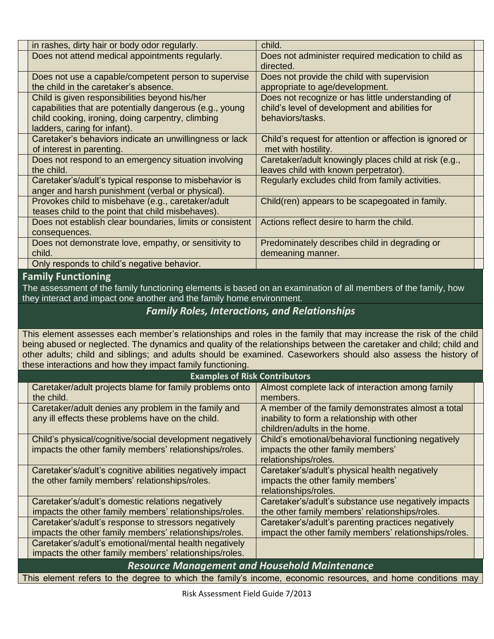| in rashes, dirty hair or body odor regularly.                                                                                                                                                   | child.                                                                                                                  |  |
|-------------------------------------------------------------------------------------------------------------------------------------------------------------------------------------------------|-------------------------------------------------------------------------------------------------------------------------|--|
| Does not attend medical appointments regularly.                                                                                                                                                 | Does not administer required medication to child as<br>directed.                                                        |  |
| Does not use a capable/competent person to supervise<br>the child in the caretaker's absence.                                                                                                   | Does not provide the child with supervision<br>appropriate to age/development.                                          |  |
| Child is given responsibilities beyond his/her<br>capabilities that are potentially dangerous (e.g., young<br>child cooking, ironing, doing carpentry, climbing<br>ladders, caring for infant). | Does not recognize or has little understanding of<br>child's level of development and abilities for<br>behaviors/tasks. |  |
| Caretaker's behaviors indicate an unwillingness or lack<br>of interest in parenting.                                                                                                            | Child's request for attention or affection is ignored or<br>met with hostility.                                         |  |
| Does not respond to an emergency situation involving<br>the child.                                                                                                                              | Caretaker/adult knowingly places child at risk (e.g.,<br>leaves child with known perpetrator).                          |  |
| Caretaker's/adult's typical response to misbehavior is<br>anger and harsh punishment (verbal or physical).                                                                                      | Regularly excludes child from family activities.                                                                        |  |
| Provokes child to misbehave (e.g., caretaker/adult<br>teases child to the point that child misbehaves).                                                                                         | Child(ren) appears to be scapegoated in family.                                                                         |  |
| Does not establish clear boundaries, limits or consistent<br>consequences.                                                                                                                      | Actions reflect desire to harm the child.                                                                               |  |
| Does not demonstrate love, empathy, or sensitivity to<br>child.                                                                                                                                 | Predominately describes child in degrading or<br>demeaning manner.                                                      |  |
| Only responds to child's negative behavior.                                                                                                                                                     |                                                                                                                         |  |

# **Family Functioning**

The assessment of the family functioning elements is based on an examination of all members of the family, how they interact and impact one another and the family home environment.

# *Family Roles, Interactions, and Relationships*

This element assesses each member's relationships and roles in the family that may increase the risk of the child being abused or neglected. The dynamics and quality of the relationships between the caretaker and child; child and other adults; child and siblings; and adults should be examined. Caseworkers should also assess the history of these interactions and how they impact family functioning.

| <b>Examples of Risk Contributors</b>                                                                               |                                                                                                                                   |
|--------------------------------------------------------------------------------------------------------------------|-----------------------------------------------------------------------------------------------------------------------------------|
| Caretaker/adult projects blame for family problems onto<br>the child.                                              | Almost complete lack of interaction among family<br>members.                                                                      |
| Caretaker/adult denies any problem in the family and<br>any ill effects these problems have on the child.          | A member of the family demonstrates almost a total<br>inability to form a relationship with other<br>children/adults in the home. |
| Child's physical/cognitive/social development negatively<br>impacts the other family members' relationships/roles. | Child's emotional/behavioral functioning negatively<br>impacts the other family members'<br>relationships/roles.                  |
| Caretaker's/adult's cognitive abilities negatively impact<br>the other family members' relationships/roles.        | Caretaker's/adult's physical health negatively<br>impacts the other family members'<br>relationships/roles.                       |
| Caretaker's/adult's domestic relations negatively<br>impacts the other family members' relationships/roles.        | Caretaker's/adult's substance use negatively impacts<br>the other family members' relationships/roles.                            |
| Caretaker's/adult's response to stressors negatively<br>impacts the other family members' relationships/roles.     | Caretaker's/adult's parenting practices negatively<br>impact the other family members' relationships/roles.                       |
| Caretaker's/adult's emotional/mental health negatively<br>impacts the other family members' relationships/roles.   |                                                                                                                                   |
| <b>Resource Management and Household Maintenance</b>                                                               |                                                                                                                                   |

This element refers to the degree to which the family's income, economic resources, and home conditions may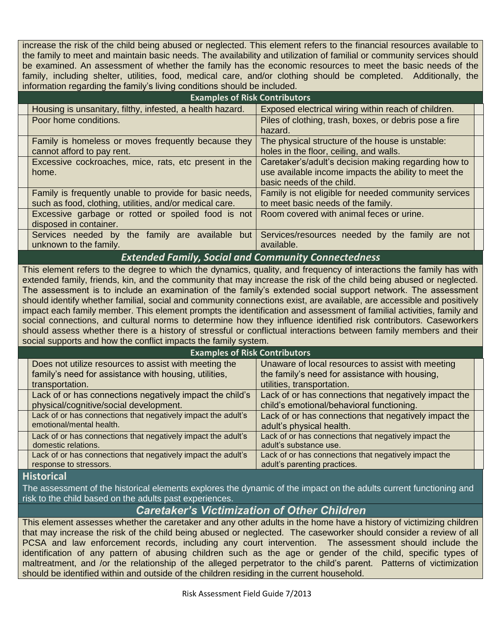increase the risk of the child being abused or neglected. This element refers to the financial resources available to the family to meet and maintain basic needs. The availability and utilization of familial or community services should be examined. An assessment of whether the family has the economic resources to meet the basic needs of the family, including shelter, utilities, food, medical care, and/or clothing should be completed. Additionally, the information regarding the family's living conditions should be included.

| <b>Examples of Risk Contributors</b>                      |                                                        |  |
|-----------------------------------------------------------|--------------------------------------------------------|--|
| Housing is unsanitary, filthy, infested, a health hazard. | Exposed electrical wiring within reach of children.    |  |
| Poor home conditions.                                     | Piles of clothing, trash, boxes, or debris pose a fire |  |
|                                                           | hazard.                                                |  |
| Family is homeless or moves frequently because they       | The physical structure of the house is unstable:       |  |
| cannot afford to pay rent.                                | holes in the floor, ceiling, and walls.                |  |
| Excessive cockroaches, mice, rats, etc present in the     | Caretaker's/adult's decision making regarding how to   |  |
| home.                                                     | use available income impacts the ability to meet the   |  |
|                                                           | basic needs of the child.                              |  |
| Family is frequently unable to provide for basic needs,   | Family is not eligible for needed community services   |  |
| such as food, clothing, utilities, and/or medical care.   | to meet basic needs of the family.                     |  |
| Excessive garbage or rotted or spoiled food is not        | Room covered with animal feces or urine.               |  |
| disposed in container.                                    |                                                        |  |
| Services needed by the family are available but           | Services/resources needed by the family are not        |  |
| unknown to the family.                                    | available.                                             |  |

#### *Extended Family, Social and Community Connectedness*

This element refers to the degree to which the dynamics, quality, and frequency of interactions the family has with extended family, friends, kin, and the community that may increase the risk of the child being abused or neglected. The assessment is to include an examination of the family's extended social support network. The assessment should identify whether familial, social and community connections exist, are available, are accessible and positively impact each family member. This element prompts the identification and assessment of familial activities, family and social connections, and cultural norms to determine how they influence identified risk contributors. Caseworkers should assess whether there is a history of stressful or conflictual interactions between family members and their social supports and how the conflict impacts the family system.

| <b>Examples of Risk Contributors</b>                          |                                                       |  |
|---------------------------------------------------------------|-------------------------------------------------------|--|
| Does not utilize resources to assist with meeting the         | Unaware of local resources to assist with meeting     |  |
| family's need for assistance with housing, utilities,         | the family's need for assistance with housing,        |  |
| transportation.                                               | utilities, transportation.                            |  |
| Lack of or has connections negatively impact the child's      | Lack of or has connections that negatively impact the |  |
| physical/cognitive/social development.                        | child's emotional/behavioral functioning.             |  |
| Lack of or has connections that negatively impact the adult's | Lack of or has connections that negatively impact the |  |
| emotional/mental health.                                      | adult's physical health.                              |  |
| Lack of or has connections that negatively impact the adult's | Lack of or has connections that negatively impact the |  |
| domestic relations.                                           | adult's substance use.                                |  |
| Lack of or has connections that negatively impact the adult's | Lack of or has connections that negatively impact the |  |
| response to stressors.                                        | adult's parenting practices.                          |  |

#### **Historical**

The assessment of the historical elements explores the dynamic of the impact on the adults current functioning and risk to the child based on the adults past experiences.

## *Caretaker's Victimization of Other Children*

This element assesses whether the caretaker and any other adults in the home have a history of victimizing children that may increase the risk of the child being abused or neglected. The caseworker should consider a review of all PCSA and law enforcement records, including any court intervention. The assessment should include the identification of any pattern of abusing children such as the age or gender of the child, specific types of maltreatment, and /or the relationship of the alleged perpetrator to the child's parent. Patterns of victimization should be identified within and outside of the children residing in the current household.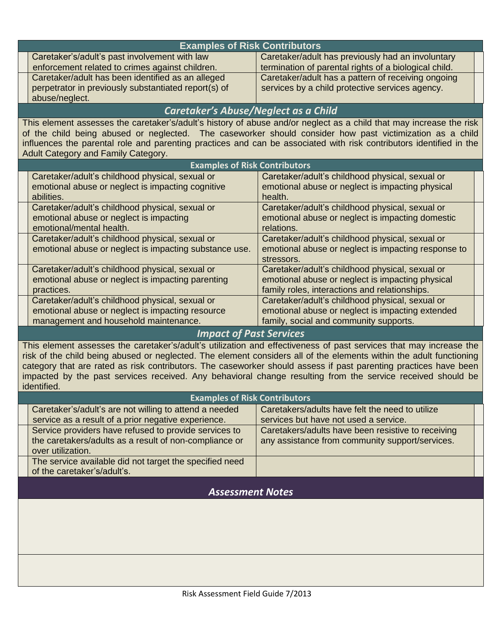| <b>Examples of Risk Contributors</b>                                                                                                                                                                                            |                                                                   |
|---------------------------------------------------------------------------------------------------------------------------------------------------------------------------------------------------------------------------------|-------------------------------------------------------------------|
| Caretaker's/adult's past involvement with law                                                                                                                                                                                   | Caretaker/adult has previously had an involuntary                 |
| enforcement related to crimes against children.                                                                                                                                                                                 | termination of parental rights of a biological child.             |
| Caretaker/adult has been identified as an alleged                                                                                                                                                                               | Caretaker/adult has a pattern of receiving ongoing                |
| perpetrator in previously substantiated report(s) of<br>abuse/neglect.                                                                                                                                                          | services by a child protective services agency.                   |
| Caretaker's Abuse/Neglect as a Child                                                                                                                                                                                            |                                                                   |
| This element assesses the caretaker's/adult's history of abuse and/or neglect as a child that may increase the risk                                                                                                             |                                                                   |
| of the child being abused or neglected. The caseworker should consider how past victimization as a child                                                                                                                        |                                                                   |
| influences the parental role and parenting practices and can be associated with risk contributors identified in the                                                                                                             |                                                                   |
| Adult Category and Family Category.                                                                                                                                                                                             |                                                                   |
| <b>Examples of Risk Contributors</b>                                                                                                                                                                                            |                                                                   |
| Caretaker/adult's childhood physical, sexual or                                                                                                                                                                                 | Caretaker/adult's childhood physical, sexual or                   |
| emotional abuse or neglect is impacting cognitive<br>abilities.                                                                                                                                                                 | emotional abuse or neglect is impacting physical<br>health.       |
| Caretaker/adult's childhood physical, sexual or                                                                                                                                                                                 | Caretaker/adult's childhood physical, sexual or                   |
| emotional abuse or neglect is impacting                                                                                                                                                                                         | emotional abuse or neglect is impacting domestic                  |
| emotional/mental health.                                                                                                                                                                                                        | relations.                                                        |
| Caretaker/adult's childhood physical, sexual or                                                                                                                                                                                 | Caretaker/adult's childhood physical, sexual or                   |
| emotional abuse or neglect is impacting substance use.                                                                                                                                                                          | emotional abuse or neglect is impacting response to<br>stressors. |
| Caretaker/adult's childhood physical, sexual or                                                                                                                                                                                 | Caretaker/adult's childhood physical, sexual or                   |
| emotional abuse or neglect is impacting parenting                                                                                                                                                                               | emotional abuse or neglect is impacting physical                  |
| practices.                                                                                                                                                                                                                      | family roles, interactions and relationships.                     |
| Caretaker/adult's childhood physical, sexual or                                                                                                                                                                                 | Caretaker/adult's childhood physical, sexual or                   |
| emotional abuse or neglect is impacting resource                                                                                                                                                                                | emotional abuse or neglect is impacting extended                  |
| management and household maintenance.                                                                                                                                                                                           | family, social and community supports.                            |
| <b>Impact of Past Services</b>                                                                                                                                                                                                  |                                                                   |
| This element assesses the caretaker's/adult's utilization and effectiveness of past services that may increase the                                                                                                              |                                                                   |
| risk of the child being abused or neglected. The element considers all of the elements within the adult functioning                                                                                                             |                                                                   |
| category that are rated as risk contributors. The caseworker should assess if past parenting practices have been<br>impacted by the past services received. Any behavioral change resulting from the service received should be |                                                                   |
| identified.                                                                                                                                                                                                                     |                                                                   |
| <b>Examples of Risk Contributors</b>                                                                                                                                                                                            |                                                                   |
| Caretaker's/adult's are not willing to attend a needed                                                                                                                                                                          | Caretakers/adults have felt the need to utilize                   |
| service as a result of a prior negative experience.                                                                                                                                                                             | services but have not used a service.                             |
| Service providers have refused to provide services to                                                                                                                                                                           | Caretakers/adults have been resistive to receiving                |
| the caretakers/adults as a result of non-compliance or                                                                                                                                                                          | any assistance from community support/services.                   |
| over utilization.                                                                                                                                                                                                               |                                                                   |
| The service available did not target the specified need<br>of the caretaker's/adult's.                                                                                                                                          |                                                                   |
|                                                                                                                                                                                                                                 |                                                                   |
| <b>Assessment Notes</b>                                                                                                                                                                                                         |                                                                   |
|                                                                                                                                                                                                                                 |                                                                   |
|                                                                                                                                                                                                                                 |                                                                   |
|                                                                                                                                                                                                                                 |                                                                   |
|                                                                                                                                                                                                                                 |                                                                   |
|                                                                                                                                                                                                                                 |                                                                   |
|                                                                                                                                                                                                                                 |                                                                   |
|                                                                                                                                                                                                                                 |                                                                   |